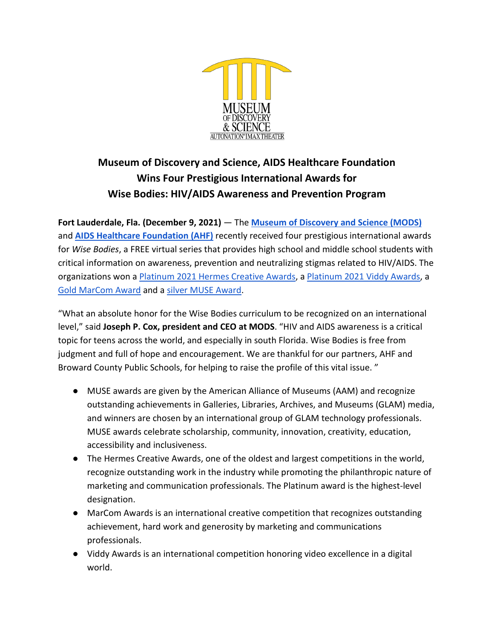

# **Museum of Discovery and Science, AIDS Healthcare Foundation Wins Four Prestigious International Awards for Wise Bodies: HIV/AIDS Awareness and Prevention Program**

**Fort Lauderdale, Fla. (December 9, 2021)** — The **[Museum of Discovery and Science \(MODS\)](http://mods.org/)** and **[AIDS Healthcare Foundation \(AHF\)](https://www.aidshealth.org/)** recently received four prestigious international awards for *Wise Bodies*, a FREE virtual series that provides high school and middle school students with critical information on awareness, prevention and neutralizing stigmas related to HIV/AIDS. The organizations won [a Platinum 2021 Hermes Creative Awards,](https://enter.hermesawards.com/entry/wise-bodies-hivaids-prevention-and-wellness/) a [Platinum 2021 Viddy Awards,](http://enter.viddyawards.com/entry/wise-bodies-hiv-aids-prevention-and-wellness/) a [Gold MarCom Award](https://enter.marcomawards.com/entry/wise-bodies-hivaids-prevention-and-wellness/) and a [silver MUSE Award.](https://www.aam-us.org/programs/awards-competitions/2021-muse-award-winners/)

"What an absolute honor for the Wise Bodies curriculum to be recognized on an international level," said **Joseph P. Cox, president and CEO at MODS**. "HIV and AIDS awareness is a critical topic for teens across the world, and especially in south Florida. Wise Bodies is free from judgment and full of hope and encouragement. We are thankful for our partners, AHF and Broward County Public Schools, for helping to raise the profile of this vital issue. "

- MUSE awards are given by the American Alliance of Museums (AAM) and recognize outstanding achievements in Galleries, Libraries, Archives, and Museums (GLAM) media, and winners are chosen by an international group of GLAM technology professionals. MUSE awards celebrate scholarship, community, innovation, creativity, education, accessibility and inclusiveness.
- The Hermes Creative Awards, one of the oldest and largest competitions in the world, recognize outstanding work in the industry while promoting the philanthropic nature of marketing and communication professionals. The Platinum award is the highest-level designation.
- MarCom Awards is an international creative competition that recognizes outstanding achievement, hard work and generosity by marketing and communications professionals.
- Viddy Awards is an international competition honoring video excellence in a digital world.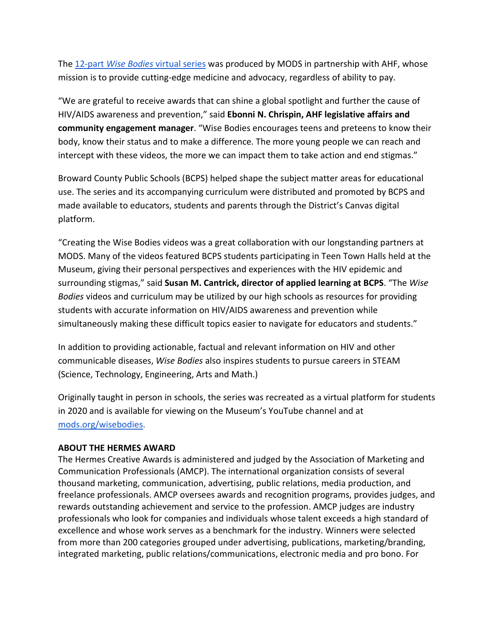The [12-part](https://mods.org/?page_id=18629) *[Wise Bodies](https://mods.org/?page_id=18629)* [virtual series](https://mods.org/?page_id=18629) was produced by MODS in partnership with AHF, whose mission is to provide cutting-edge medicine and advocacy, regardless of ability to pay.

"We are grateful to receive awards that can shine a global spotlight and further the cause of HIV/AIDS awareness and prevention," said **Ebonni N. Chrispin, AHF legislative affairs and community engagement manager**. "Wise Bodies encourages teens and preteens to know their body, know their status and to make a difference. The more young people we can reach and intercept with these videos, the more we can impact them to take action and end stigmas."

Broward County Public Schools (BCPS) helped shape the subject matter areas for educational use. The series and its accompanying curriculum were distributed and promoted by BCPS and made available to educators, students and parents through the District's Canvas digital platform.

"Creating the Wise Bodies videos was a great collaboration with our longstanding partners at MODS. Many of the videos featured BCPS students participating in Teen Town Halls held at the Museum, giving their personal perspectives and experiences with the HIV epidemic and surrounding stigmas," said **Susan M. Cantrick, director of applied learning at BCPS**. "The *Wise Bodies* videos and curriculum may be utilized by our high schools as resources for providing students with accurate information on HIV/AIDS awareness and prevention while simultaneously making these difficult topics easier to navigate for educators and students."

In addition to providing actionable, factual and relevant information on HIV and other communicable diseases, *Wise Bodies* also inspires students to pursue careers in STEAM (Science, Technology, Engineering, Arts and Math.)

Originally taught in person in schools, the series was recreated as a virtual platform for students in 2020 and is available for viewing on the Museum's YouTube channel and at [mods.org/wisebodies.](http://mods.org/wisebodies)

# **ABOUT THE HERMES AWARD**

The Hermes Creative Awards is administered and judged by the Association of Marketing and Communication Professionals (AMCP). The international organization consists of several thousand marketing, communication, advertising, public relations, media production, and freelance professionals. AMCP oversees awards and recognition programs, provides judges, and rewards outstanding achievement and service to the profession. AMCP judges are industry professionals who look for companies and individuals whose talent exceeds a high standard of excellence and whose work serves as a benchmark for the industry. Winners were selected from more than 200 categories grouped under advertising, publications, marketing/branding, integrated marketing, public relations/communications, electronic media and pro bono. For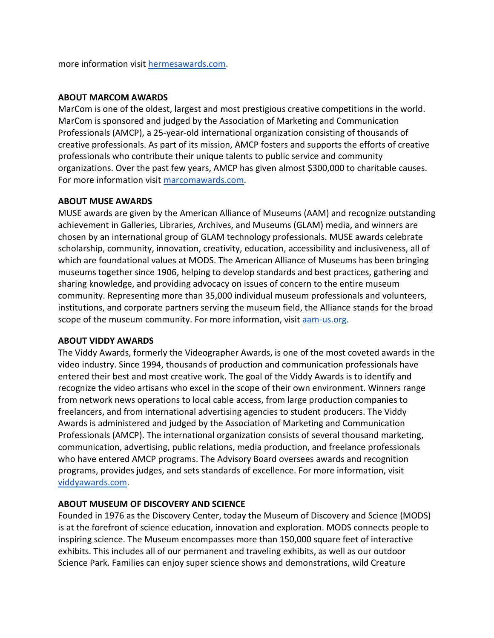more information visit [hermesawards.com.](https://hermesawards.com/)

## **ABOUT MARCOM AWARDS**

MarCom is one of the oldest, largest and most prestigious creative competitions in the world. MarCom is sponsored and judged by the Association of Marketing and Communication Professionals (AMCP), a 25-year-old international organization consisting of thousands of creative professionals. As part of its mission, AMCP fosters and supports the efforts of creative professionals who contribute their unique talents to public service and community organizations. Over the past few years, AMCP has given almost \$300,000 to charitable causes. For more information visit [marcomawards.com.](http://marcomawards.com/)

## **ABOUT MUSE AWARDS**

MUSE awards are given by the American Alliance of Museums (AAM) and recognize outstanding achievement in Galleries, Libraries, Archives, and Museums (GLAM) media, and winners are chosen by an international group of GLAM technology professionals. MUSE awards celebrate scholarship, community, innovation, creativity, education, accessibility and inclusiveness, all of which are foundational values at MODS. The American Alliance of Museums has been bringing museums together since 1906, helping to develop standards and best practices, gathering and sharing knowledge, and providing advocacy on issues of concern to the entire museum community. Representing more than 35,000 individual museum professionals and volunteers, institutions, and corporate partners serving the museum field, the Alliance stands for the broad scope of the museum community. For more information, visi[t aam-us.org.](http://www.aam-us.org/)

#### **ABOUT VIDDY AWARDS**

The Viddy Awards, formerly the Videographer Awards, is one of the most coveted awards in the video industry. Since 1994, thousands of production and communication professionals have entered their best and most creative work. The goal of the Viddy Awards is to identify and recognize the video artisans who excel in the scope of their own environment. Winners range from network news operations to local cable access, from large production companies to freelancers, and from international advertising agencies to student producers. The Viddy Awards is administered and judged by the Association of Marketing and Communication Professionals (AMCP). The international organization consists of several thousand marketing, communication, advertising, public relations, media production, and freelance professionals who have entered AMCP programs. The Advisory Board oversees awards and recognition programs, provides judges, and sets standards of excellence. For more information, visit [viddyawards.com.](https://viddyawards.com/)

# **ABOUT MUSEUM OF DISCOVERY AND SCIENCE**

Founded in 1976 as the Discovery Center, today the Museum of Discovery and Science (MODS) is at the forefront of science education, innovation and exploration. MODS connects people to inspiring science. The Museum encompasses more than 150,000 square feet of interactive exhibits. This includes all of our permanent and traveling exhibits, as well as our outdoor Science Park. Families can enjoy super science shows and demonstrations, wild Creature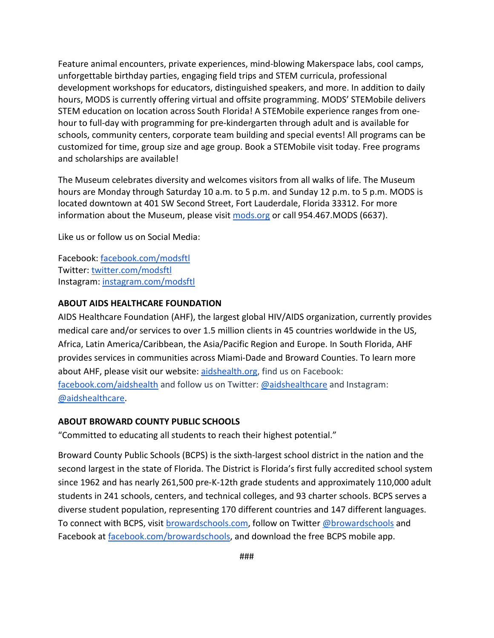Feature animal encounters, private experiences, mind-blowing Makerspace labs, cool camps, unforgettable birthday parties, engaging field trips and STEM curricula, professional development workshops for educators, distinguished speakers, and more. In addition to daily hours, MODS is currently offering virtual and offsite programming. MODS' STEMobile delivers STEM education on location across South Florida! A STEMobile experience ranges from onehour to full-day with programming for pre-kindergarten through adult and is available for schools, community centers, corporate team building and special events! All programs can be customized for time, group size and age group. Book a STEMobile visit today. Free programs and scholarships are available!

The Museum celebrates diversity and welcomes visitors from all walks of life. The Museum hours are Monday through Saturday 10 a.m. to 5 p.m. and Sunday 12 p.m. to 5 p.m. MODS is located downtown at 401 SW Second Street, Fort Lauderdale, Florida 33312. For more informa[t](http://mods.org/)ion about the Museum, please visit [mods.org](http://mods.org/) or call 954.467.MODS (6637).

Like us or follow us on Social Media:

Facebook: [facebook.com/modsftl](http://www.facebook.com/modsftl) Twitter[:](http://www.twitter.com/modsftl) [twitter.com/modsftl](http://www.twitter.com/modsftl) Instagram[:](http://www.instagram.com/modsftl) [instagram.com/modsftl](http://www.instagram.com/modsftl)

#### **ABOUT AIDS HEALTHCARE FOUNDATION**

AIDS Healthcare Foundation (AHF), the largest global HIV/AIDS organization, currently provides medical care and/or services to over 1.5 million clients in 45 countries worldwide in the US, Africa, Latin America/Caribbean, the Asia/Pacific Region and Europe. In South Florida, AHF provides services in communities across Miami-Dade and Broward Counties. To learn more about AHF, please visit our website: [aidshealth.org,](http://aidshealth.org/) find us on Facebook: [facebook.com/aidshealth](http://facebook.com/aidshealth) and follow us on Twitter: [@aidshealthcare](https://twitter.com/aidshealthcare) and Instagram: [@aidshealthcare.](https://www.instagram.com/aidshealthcare/)

## **ABOUT BROWARD COUNTY PUBLIC SCHOOLS**

"Committed to educating all students to reach their highest potential."

Broward County Public Schools (BCPS) is the sixth-largest school district in the nation and the second largest in the state of Florida. The District is Florida's first fully accredited school system since 1962 and has nearly 261,500 pre-K-12th grade students and approximately 110,000 adult students in 241 schools, centers, and technical colleges, and 93 charter schools. BCPS serves a diverse student population, representing 170 different countries and 147 different languages. To connect with BCPS, visit [browardschools.com,](http://browardschools.com/) follow on Twitter [@browardschools](https://twitter.com/browardschools) and Facebook at [facebook.com/browardschools,](http://facebook.com/browardschools) and download the free BCPS mobile app.